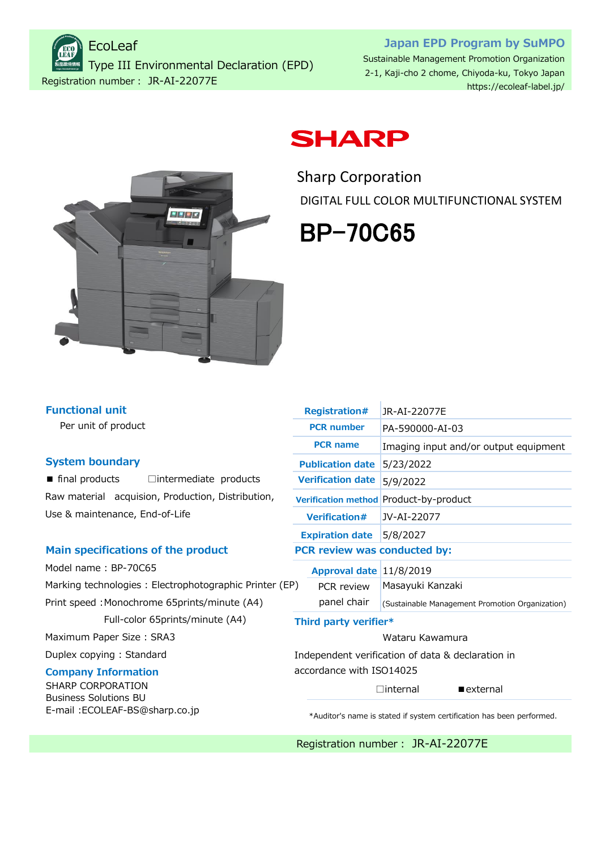Registration number: JR-AI-22077E EcoLeaf Type III Environmental Declaration (EPD)

### **Japan EPD Program by SuMPO** Sustainable Management Promotion Organization 2-1, Kaji-cho 2 chome, Chiyoda-ku, Tokyo Japan

<https://ecoleaf-label.jp/>



# **SHARP**

Sharp Corporation DIGITAL FULL COLOR MULTIFUNCTIONAL SYSTEM

# BP-70C65

| <b>Functional unit</b> |  |  |  |
|------------------------|--|--|--|
|                        |  |  |  |

Per unit of product

#### **System boundary**

■ final products □intermediate products Raw material acquision, Production, Distribution, Use & maintenance, End-of-Life

#### **Main specifications of the product**

Model name : BP-70C65 Marking technologies : Electrophotographic Printer (E Print speed : Monochrome 65prints/minute (A4) Full-color 65prints/minute (A4)

Maximum Paper Size : SRA3

Duplex copying : Standard

### **Company Information**

SHARP CORPORATION Business Solutions BU [E-mail :ECOLEAF-BS@sharp.co.jp](Mailto:ECOLEAF-BS@sharp.co.jp)

|     | <b>Registration#</b>            | JR-AI-22077E                                      |  |  |  |  |  |
|-----|---------------------------------|---------------------------------------------------|--|--|--|--|--|
|     | <b>PCR number</b>               | PA-590000-AI-03                                   |  |  |  |  |  |
|     | <b>PCR</b> name                 | Imaging input and/or output equipment             |  |  |  |  |  |
|     | <b>Publication date</b>         | 5/23/2022                                         |  |  |  |  |  |
|     | <b>Verification date</b>        | 5/9/2022                                          |  |  |  |  |  |
|     |                                 | Verification method Product-by-product            |  |  |  |  |  |
|     | <b>Verification#</b>            | JV-AI-22077                                       |  |  |  |  |  |
|     | <b>Expiration date</b> 5/8/2027 |                                                   |  |  |  |  |  |
|     | PCR review was conducted by:    |                                                   |  |  |  |  |  |
|     | Approval date 11/8/2019         |                                                   |  |  |  |  |  |
| EP) | PCR review                      | Masayuki Kanzaki                                  |  |  |  |  |  |
|     | panel chair                     | (Sustainable Management Promotion Organization)   |  |  |  |  |  |
|     | Third party verifier*           |                                                   |  |  |  |  |  |
|     |                                 | Wataru Kawamura                                   |  |  |  |  |  |
|     |                                 | Independent verification of data & declaration in |  |  |  |  |  |

Independent verification of data & declaration in accordance with ISO14025

 $\Box$ internal **External** 

\*Auditor's name is stated if system certification has been performed.

Registration number: JR-AI-22077E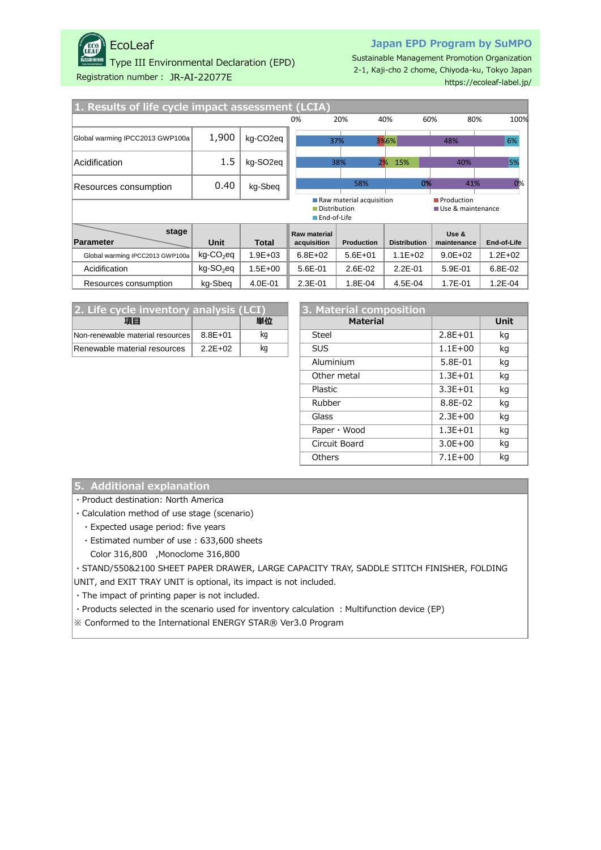

## EcoLeaf

Type III Environmental Declaration (EPD)

#### **Japan EPD Program by SuMPO**

Sustainable Management Promotion Organization 2-1, Kaji-cho 2 chome, Chiyoda-ku, Tokyo Japan <https://ecoleaf-label.jp/>

Registration number: JR-AI-22077E

| 1. Results of life cycle impact assessment (LCIA)                                                  |                       |                       |                             |                   |                     |                      |             |  |
|----------------------------------------------------------------------------------------------------|-----------------------|-----------------------|-----------------------------|-------------------|---------------------|----------------------|-------------|--|
|                                                                                                    |                       |                       | 0%                          | 20%               | 40%                 | 80%<br>60%           | 100%        |  |
| Global warming IPCC2013 GWP100a                                                                    | 1,900                 | kg-CO <sub>2</sub> eg |                             | 37%               | 3%6%                | 48%                  | 6%          |  |
| <b>Acidification</b>                                                                               | 1.5                   | kg-SO <sub>2</sub> eg |                             | 38%               | 2%<br>15%           | 40%                  | 5%          |  |
| Resources consumption                                                                              | 0.40                  | kg-Sbeg               | 58%                         |                   | 0%                  | 41%                  | 0%          |  |
| Raw material acquisition<br>Production<br>Distribution<br>Use & maintenance<br><b>■End-of-Life</b> |                       |                       |                             |                   |                     |                      |             |  |
| stage<br>Parameter                                                                                 | Unit                  | <b>Total</b>          | Raw material<br>acquisition | <b>Production</b> | <b>Distribution</b> | Use &<br>maintenance | End-of-Life |  |
| Global warming IPCC2013 GWP100a                                                                    | kg-CO <sub>2</sub> eq | $1.9E + 03$           | $6.8E + 02$                 | $5.6E + 01$       | $1.1E + 02$         | $9.0E + 02$          | $1.2E + 02$ |  |
| Acidification                                                                                      | kg-SO <sub>2</sub> eq | $1.5E + 00$           | 5.6E-01                     | $2.6E - 02$       | $2.2E - 01$         | 5.9E-01              | 6.8E-02     |  |
| Resources consumption                                                                              | kg-Sbeg               | 4.0E-01               | $2.3E - 01$                 | 1.8E-04           | 4.5E-04             | 1.7E-01              | 1.2E-04     |  |

| 2. Life cycle inventory analysis (LCI) |             |    | 3. Material composition |             |     |  |
|----------------------------------------|-------------|----|-------------------------|-------------|-----|--|
| 項目                                     |             | 単位 | <b>Material</b>         |             | Uni |  |
| Non-renewable material resources       | $8.8E + 01$ | ka | Steel                   | $2.8E + 01$ | kg  |  |
| Renewable material resources           | $2.2E + 02$ | ka | <b>SUS</b>              | $1.1E + 00$ | kg  |  |

| cle inventory analysis (LCI) |             |    | 3. Material composition |             |             |
|------------------------------|-------------|----|-------------------------|-------------|-------------|
| 項目                           |             | 単位 | <b>Material</b>         |             | <b>Unit</b> |
| material resources           | $8.8E + 01$ | kg | <b>Steel</b>            | $2.8E + 01$ | kg          |
| aterial resources            | $2.2E + 02$ | kg | <b>SUS</b>              | $1.1E + 00$ | kg          |
|                              |             |    | Aluminium               | 5.8E-01     | kg          |
|                              |             |    | Other metal             | $1.3E + 01$ | kg          |
|                              |             |    | Plastic                 | $3.3E + 01$ | kg          |
|                              |             |    | Rubber                  | 8.8E-02     | kg          |
|                              |             |    | Glass                   | $2.3E + 00$ | kg          |
|                              |             |    | Paper $\cdot$ Wood      | $1.3E + 01$ | kg          |
|                              |             |    | Circuit Board           | $3.0E + 00$ | kg          |
|                              |             |    | <b>Others</b>           | $7.1E + 00$ | kg          |
|                              |             |    |                         |             |             |

#### **5. Additional explanation**

・Product destination: North America

・Calculation method of use stage (scenario)

- ・Expected usage period: five years
- ・Estimated number of use : 633,600 sheets
- Color 316,800 ,Monoclome 316,800

・STAND/550&2100 SHEET PAPER DRAWER, LARGE CAPACITY TRAY, SADDLE STITCH FINISHER, FOLDING

UNIT, and EXIT TRAY UNIT is optional, its impact is not included.

・The impact of printing paper is not included.

• Products selected in the scenario used for inventory calculation : Multifunction device (EP)

※ Conformed to the International ENERGY STAR® Ver3.0 Program